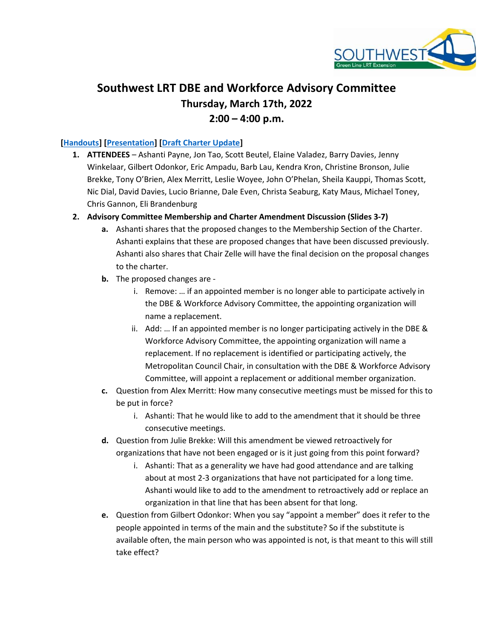

# Southwest LRT DBE and Workforce Advisory Committee Thursday, March 17th, 2022  $2:00 - 4:00$  p.m.

#### [Handouts] [Presentation] [Draft Charter Update]

- 1. ATTENDEES Ashanti Payne, Jon Tao, Scott Beutel, Elaine Valadez, Barry Davies, Jenny Winkelaar, Gilbert Odonkor, Eric Ampadu, Barb Lau, Kendra Kron, Christine Bronson, Julie Brekke, Tony O'Brien, Alex Merritt, Leslie Woyee, John O'Phelan, Sheila Kauppi, Thomas Scott, Nic Dial, David Davies, Lucio Brianne, Dale Even, Christa Seaburg, Katy Maus, Michael Toney, Chris Gannon, Eli Brandenburg
- 2. Advisory Committee Membership and Charter Amendment Discussion (Slides 3-7)
	- a. Ashanti shares that the proposed changes to the Membership Section of the Charter. Ashanti explains that these are proposed changes that have been discussed previously. Ashanti also shares that Chair Zelle will have the final decision on the proposal changes to the charter.
	- b. The proposed changes are
		- i. Remove: … if an appointed member is no longer able to participate actively in the DBE & Workforce Advisory Committee, the appointing organization will name a replacement.
		- ii. Add: … If an appointed member is no longer participating actively in the DBE & Workforce Advisory Committee, the appointing organization will name a replacement. If no replacement is identified or participating actively, the Metropolitan Council Chair, in consultation with the DBE & Workforce Advisory Committee, will appoint a replacement or additional member organization.
	- c. Question from Alex Merritt: How many consecutive meetings must be missed for this to be put in force?
		- i. Ashanti: That he would like to add to the amendment that it should be three consecutive meetings.
	- d. Question from Julie Brekke: Will this amendment be viewed retroactively for organizations that have not been engaged or is it just going from this point forward?
		- i. Ashanti: That as a generality we have had good attendance and are talking about at most 2-3 organizations that have not participated for a long time. Ashanti would like to add to the amendment to retroactively add or replace an organization in that line that has been absent for that long.
	- e. Question from Gilbert Odonkor: When you say "appoint a member" does it refer to the people appointed in terms of the main and the substitute? So if the substitute is available often, the main person who was appointed is not, is that meant to this will still take effect?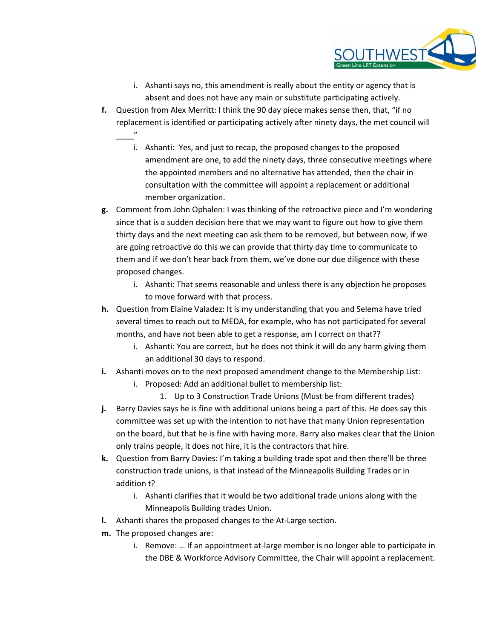

- i. Ashanti says no, this amendment is really about the entity or agency that is absent and does not have any main or substitute participating actively.
- f. Question from Alex Merritt: I think the 90 day piece makes sense then, that, "if no replacement is identified or participating actively after ninety days, the met council will
	- i. Ashanti: Yes, and just to recap, the proposed changes to the proposed amendment are one, to add the ninety days, three consecutive meetings where the appointed members and no alternative has attended, then the chair in consultation with the committee will appoint a replacement or additional member organization.
- g. Comment from John Ophalen: I was thinking of the retroactive piece and I'm wondering since that is a sudden decision here that we may want to figure out how to give them thirty days and the next meeting can ask them to be removed, but between now, if we are going retroactive do this we can provide that thirty day time to communicate to them and if we don't hear back from them, we've done our due diligence with these proposed changes.
	- i. Ashanti: That seems reasonable and unless there is any objection he proposes to move forward with that process.
- h. Question from Elaine Valadez: It is my understanding that you and Selema have tried several times to reach out to MEDA, for example, who has not participated for several months, and have not been able to get a response, am I correct on that??
	- i. Ashanti: You are correct, but he does not think it will do any harm giving them an additional 30 days to respond.
- i. Ashanti moves on to the next proposed amendment change to the Membership List:
	- i. Proposed: Add an additional bullet to membership list:
		- 1. Up to 3 Construction Trade Unions (Must be from different trades)
- j. Barry Davies says he is fine with additional unions being a part of this. He does say this committee was set up with the intention to not have that many Union representation on the board, but that he is fine with having more. Barry also makes clear that the Union only trains people, it does not hire, it is the contractors that hire.
- k. Question from Barry Davies: I'm taking a building trade spot and then there'll be three construction trade unions, is that instead of the Minneapolis Building Trades or in addition t?
	- i. Ashanti clarifies that it would be two additional trade unions along with the Minneapolis Building trades Union.
- l. Ashanti shares the proposed changes to the At-Large section.
- m. The proposed changes are:

\_\_\_\_"

i. Remove: … If an appointment at-large member is no longer able to participate in the DBE & Workforce Advisory Committee, the Chair will appoint a replacement.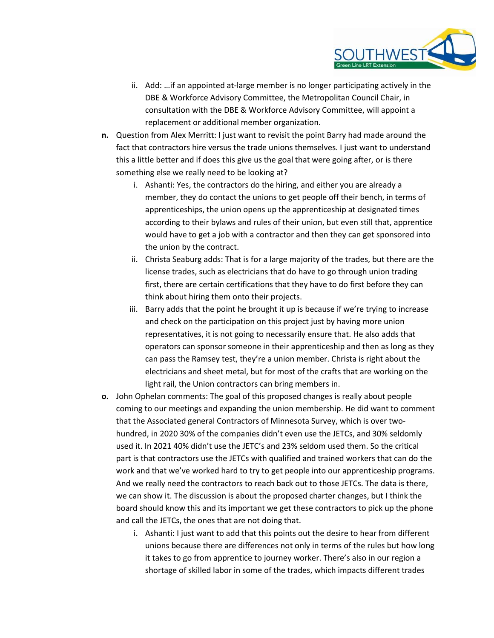

- ii. Add: …if an appointed at-large member is no longer participating actively in the DBE & Workforce Advisory Committee, the Metropolitan Council Chair, in consultation with the DBE & Workforce Advisory Committee, will appoint a replacement or additional member organization.
- n. Question from Alex Merritt: I just want to revisit the point Barry had made around the fact that contractors hire versus the trade unions themselves. I just want to understand this a little better and if does this give us the goal that were going after, or is there something else we really need to be looking at?
	- i. Ashanti: Yes, the contractors do the hiring, and either you are already a member, they do contact the unions to get people off their bench, in terms of apprenticeships, the union opens up the apprenticeship at designated times according to their bylaws and rules of their union, but even still that, apprentice would have to get a job with a contractor and then they can get sponsored into the union by the contract.
	- ii. Christa Seaburg adds: That is for a large majority of the trades, but there are the license trades, such as electricians that do have to go through union trading first, there are certain certifications that they have to do first before they can think about hiring them onto their projects.
	- iii. Barry adds that the point he brought it up is because if we're trying to increase and check on the participation on this project just by having more union representatives, it is not going to necessarily ensure that. He also adds that operators can sponsor someone in their apprenticeship and then as long as they can pass the Ramsey test, they're a union member. Christa is right about the electricians and sheet metal, but for most of the crafts that are working on the light rail, the Union contractors can bring members in.
- o. John Ophelan comments: The goal of this proposed changes is really about people coming to our meetings and expanding the union membership. He did want to comment that the Associated general Contractors of Minnesota Survey, which is over twohundred, in 2020 30% of the companies didn't even use the JETCs, and 30% seldomly used it. In 2021 40% didn't use the JETC's and 23% seldom used them. So the critical part is that contractors use the JETCs with qualified and trained workers that can do the work and that we've worked hard to try to get people into our apprenticeship programs. And we really need the contractors to reach back out to those JETCs. The data is there, we can show it. The discussion is about the proposed charter changes, but I think the board should know this and its important we get these contractors to pick up the phone and call the JETCs, the ones that are not doing that.
	- i. Ashanti: I just want to add that this points out the desire to hear from different unions because there are differences not only in terms of the rules but how long it takes to go from apprentice to journey worker. There's also in our region a shortage of skilled labor in some of the trades, which impacts different trades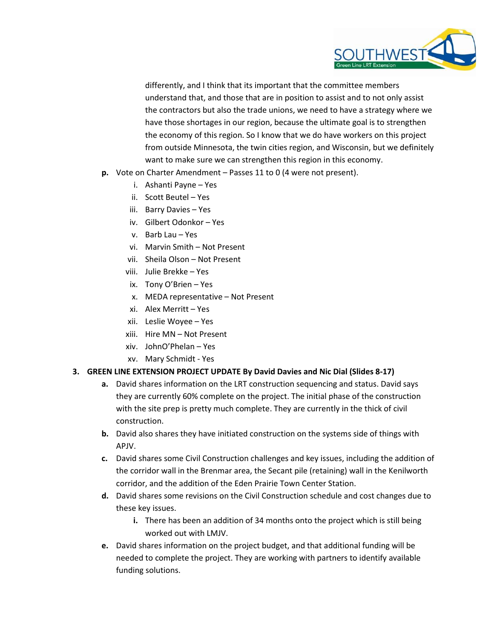

differently, and I think that its important that the committee members understand that, and those that are in position to assist and to not only assist the contractors but also the trade unions, we need to have a strategy where we have those shortages in our region, because the ultimate goal is to strengthen the economy of this region. So I know that we do have workers on this project from outside Minnesota, the twin cities region, and Wisconsin, but we definitely want to make sure we can strengthen this region in this economy.

- p. Vote on Charter Amendment Passes 11 to 0 (4 were not present).
	- i. Ashanti Payne Yes
	- ii. Scott Beutel Yes
	- iii. Barry Davies Yes
	- iv. Gilbert Odonkor Yes
	- v. Barb Lau Yes
	- vi. Marvin Smith Not Present
	- vii. Sheila Olson Not Present
	- viii. Julie Brekke Yes
	- ix. Tony O'Brien Yes
	- x. MEDA representative Not Present
	- xi. Alex Merritt Yes
	- xii. Leslie Woyee Yes
	- xiii. Hire MN Not Present
	- xiv. JohnO'Phelan Yes
	- xv. Mary Schmidt Yes

#### 3. GREEN LINE EXTENSION PROJECT UPDATE By David Davies and Nic Dial (Slides 8-17)

- a. David shares information on the LRT construction sequencing and status. David says they are currently 60% complete on the project. The initial phase of the construction with the site prep is pretty much complete. They are currently in the thick of civil construction.
- b. David also shares they have initiated construction on the systems side of things with APJV.
- c. David shares some Civil Construction challenges and key issues, including the addition of the corridor wall in the Brenmar area, the Secant pile (retaining) wall in the Kenilworth corridor, and the addition of the Eden Prairie Town Center Station.
- d. David shares some revisions on the Civil Construction schedule and cost changes due to these key issues.
	- i. There has been an addition of 34 months onto the project which is still being worked out with LMJV.
- e. David shares information on the project budget, and that additional funding will be needed to complete the project. They are working with partners to identify available funding solutions.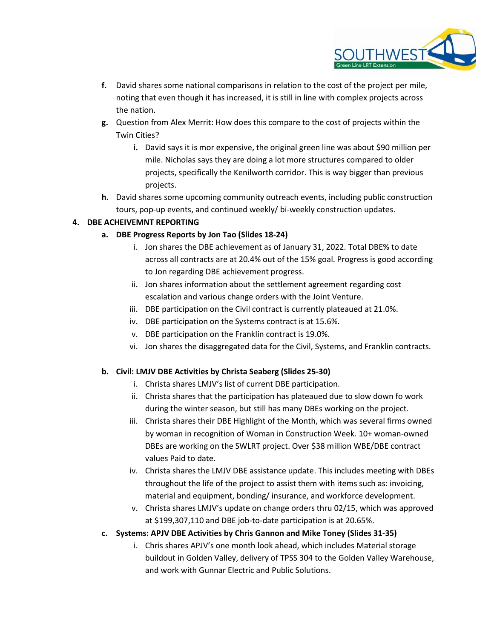

- f. David shares some national comparisons in relation to the cost of the project per mile, noting that even though it has increased, it is still in line with complex projects across the nation.
- g. Question from Alex Merrit: How does this compare to the cost of projects within the Twin Cities?
	- i. David says it is mor expensive, the original green line was about \$90 million per mile. Nicholas says they are doing a lot more structures compared to older projects, specifically the Kenilworth corridor. This is way bigger than previous projects.
- h. David shares some upcoming community outreach events, including public construction tours, pop-up events, and continued weekly/ bi-weekly construction updates.

### 4. DBE ACHEIVEMNT REPORTING

- a. DBE Progress Reports by Jon Tao (Slides 18-24)
	- i. Jon shares the DBE achievement as of January 31, 2022. Total DBE% to date across all contracts are at 20.4% out of the 15% goal. Progress is good according to Jon regarding DBE achievement progress.
	- ii. Jon shares information about the settlement agreement regarding cost escalation and various change orders with the Joint Venture.
	- iii. DBE participation on the Civil contract is currently plateaued at 21.0%.
	- iv. DBE participation on the Systems contract is at 15.6%.
	- v. DBE participation on the Franklin contract is 19.0%.
	- vi. Jon shares the disaggregated data for the Civil, Systems, and Franklin contracts.

#### b. Civil: LMJV DBE Activities by Christa Seaberg (Slides 25-30)

- i. Christa shares LMJV's list of current DBE participation.
- ii. Christa shares that the participation has plateaued due to slow down fo work during the winter season, but still has many DBEs working on the project.
- iii. Christa shares their DBE Highlight of the Month, which was several firms owned by woman in recognition of Woman in Construction Week. 10+ woman-owned DBEs are working on the SWLRT project. Over \$38 million WBE/DBE contract values Paid to date.
- iv. Christa shares the LMJV DBE assistance update. This includes meeting with DBEs throughout the life of the project to assist them with items such as: invoicing, material and equipment, bonding/ insurance, and workforce development.
- v. Christa shares LMJV's update on change orders thru 02/15, which was approved at \$199,307,110 and DBE job-to-date participation is at 20.65%.
- c. Systems: APJV DBE Activities by Chris Gannon and Mike Toney (Slides 31-35)
	- i. Chris shares APJV's one month look ahead, which includes Material storage buildout in Golden Valley, delivery of TPSS 304 to the Golden Valley Warehouse, and work with Gunnar Electric and Public Solutions.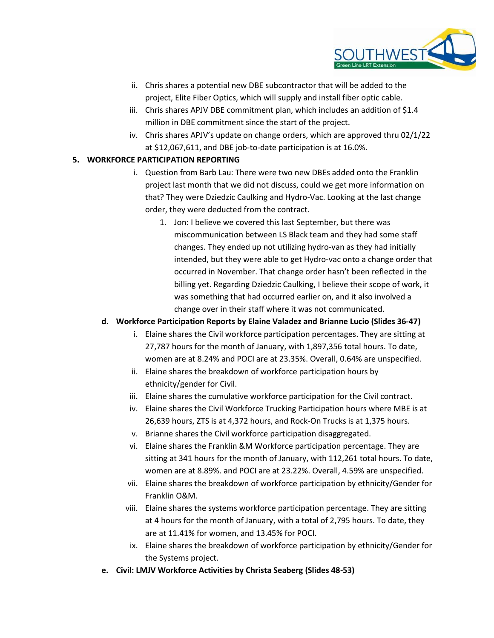

- ii. Chris shares a potential new DBE subcontractor that will be added to the project, Elite Fiber Optics, which will supply and install fiber optic cable.
- iii. Chris shares APJV DBE commitment plan, which includes an addition of \$1.4 million in DBE commitment since the start of the project.
- iv. Chris shares APJV's update on change orders, which are approved thru 02/1/22 at \$12,067,611, and DBE job-to-date participation is at 16.0%.

#### 5. WORKFORCE PARTICIPATION REPORTING

- i. Question from Barb Lau: There were two new DBEs added onto the Franklin project last month that we did not discuss, could we get more information on that? They were Dziedzic Caulking and Hydro-Vac. Looking at the last change order, they were deducted from the contract.
	- 1. Jon: I believe we covered this last September, but there was miscommunication between LS Black team and they had some staff changes. They ended up not utilizing hydro-van as they had initially intended, but they were able to get Hydro-vac onto a change order that occurred in November. That change order hasn't been reflected in the billing yet. Regarding Dziedzic Caulking, I believe their scope of work, it was something that had occurred earlier on, and it also involved a change over in their staff where it was not communicated.

#### d. Workforce Participation Reports by Elaine Valadez and Brianne Lucio (Slides 36-47)

- i. Elaine shares the Civil workforce participation percentages. They are sitting at 27,787 hours for the month of January, with 1,897,356 total hours. To date, women are at 8.24% and POCI are at 23.35%. Overall, 0.64% are unspecified.
- ii. Elaine shares the breakdown of workforce participation hours by ethnicity/gender for Civil.
- iii. Elaine shares the cumulative workforce participation for the Civil contract.
- iv. Elaine shares the Civil Workforce Trucking Participation hours where MBE is at 26,639 hours, ZTS is at 4,372 hours, and Rock-On Trucks is at 1,375 hours.
- v. Brianne shares the Civil workforce participation disaggregated.
- vi. Elaine shares the Franklin &M Workforce participation percentage. They are sitting at 341 hours for the month of January, with 112,261 total hours. To date, women are at 8.89%. and POCI are at 23.22%. Overall, 4.59% are unspecified.
- vii. Elaine shares the breakdown of workforce participation by ethnicity/Gender for Franklin O&M.
- viii. Elaine shares the systems workforce participation percentage. They are sitting at 4 hours for the month of January, with a total of 2,795 hours. To date, they are at 11.41% for women, and 13.45% for POCI.
- ix. Elaine shares the breakdown of workforce participation by ethnicity/Gender for the Systems project.
- e. Civil: LMJV Workforce Activities by Christa Seaberg (Slides 48-53)